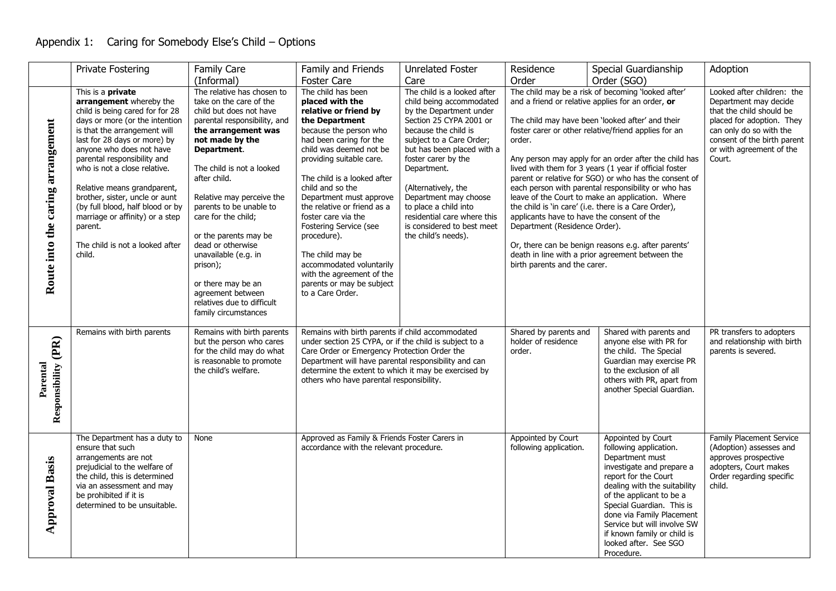## Appendix 1: Caring for Somebody Else's Child – Options

|                                   | Private Fostering                                                                                                                                                                                                                                                                                                                                                                                                                                                                   | <b>Family Care</b>                                                                                                                                                                                                                                                                                                                                                                                                                                                                       | Family and Friends                                                                                                                                                                                                                                                                                                                                                                                                                                                                                      | <b>Unrelated Foster</b>                                                                                                                                                                                                                                                                                                                                                                            | Residence                                                                                                             | Special Guardianship                                                                                                                                                                                                                                                                                                                                                                                                                                                                                                                                                                                                                                                          | Adoption                                                                                                                                                                                                     |
|-----------------------------------|-------------------------------------------------------------------------------------------------------------------------------------------------------------------------------------------------------------------------------------------------------------------------------------------------------------------------------------------------------------------------------------------------------------------------------------------------------------------------------------|------------------------------------------------------------------------------------------------------------------------------------------------------------------------------------------------------------------------------------------------------------------------------------------------------------------------------------------------------------------------------------------------------------------------------------------------------------------------------------------|---------------------------------------------------------------------------------------------------------------------------------------------------------------------------------------------------------------------------------------------------------------------------------------------------------------------------------------------------------------------------------------------------------------------------------------------------------------------------------------------------------|----------------------------------------------------------------------------------------------------------------------------------------------------------------------------------------------------------------------------------------------------------------------------------------------------------------------------------------------------------------------------------------------------|-----------------------------------------------------------------------------------------------------------------------|-------------------------------------------------------------------------------------------------------------------------------------------------------------------------------------------------------------------------------------------------------------------------------------------------------------------------------------------------------------------------------------------------------------------------------------------------------------------------------------------------------------------------------------------------------------------------------------------------------------------------------------------------------------------------------|--------------------------------------------------------------------------------------------------------------------------------------------------------------------------------------------------------------|
|                                   |                                                                                                                                                                                                                                                                                                                                                                                                                                                                                     | (Informal)                                                                                                                                                                                                                                                                                                                                                                                                                                                                               | <b>Foster Care</b>                                                                                                                                                                                                                                                                                                                                                                                                                                                                                      | Care                                                                                                                                                                                                                                                                                                                                                                                               | Order                                                                                                                 | Order (SGO)                                                                                                                                                                                                                                                                                                                                                                                                                                                                                                                                                                                                                                                                   |                                                                                                                                                                                                              |
| Route into the caring arrangement | This is a <b>private</b><br>arrangement whereby the<br>child is being cared for for 28<br>days or more (or the intention<br>is that the arrangement will<br>last for 28 days or more) by<br>anyone who does not have<br>parental responsibility and<br>who is not a close relative.<br>Relative means grandparent,<br>brother, sister, uncle or aunt<br>(by full blood, half blood or by<br>marriage or affinity) or a step<br>parent.<br>The child is not a looked after<br>child. | The relative has chosen to<br>take on the care of the<br>child but does not have<br>parental responsibility, and<br>the arrangement was<br>not made by the<br>Department.<br>The child is not a looked<br>after child.<br>Relative may perceive the<br>parents to be unable to<br>care for the child;<br>or the parents may be<br>dead or otherwise<br>unavailable (e.g. in<br>prison);<br>or there may be an<br>agreement between<br>relatives due to difficult<br>family circumstances | The child has been<br>placed with the<br>relative or friend by<br>the Department<br>because the person who<br>had been caring for the<br>child was deemed not be<br>providing suitable care.<br>The child is a looked after<br>child and so the<br>Department must approve<br>the relative or friend as a<br>foster care via the<br>Fostering Service (see<br>procedure).<br>The child may be<br>accommodated voluntarily<br>with the agreement of the<br>parents or may be subject<br>to a Care Order. | The child is a looked after<br>child being accommodated<br>by the Department under<br>Section 25 CYPA 2001 or<br>because the child is<br>subject to a Care Order;<br>but has been placed with a<br>foster carer by the<br>Department.<br>(Alternatively, the<br>Department may choose<br>to place a child into<br>residential care where this<br>is considered to best meet<br>the child's needs). | order.<br>applicants have to have the consent of the<br>Department (Residence Order).<br>birth parents and the carer. | The child may be a risk of becoming 'looked after'<br>and a friend or relative applies for an order, or<br>The child may have been 'looked after' and their<br>foster carer or other relative/friend applies for an<br>Any person may apply for an order after the child has<br>lived with them for 3 years (1 year if official foster<br>parent or relative for SGO) or who has the consent of<br>each person with parental responsibility or who has<br>leave of the Court to make an application. Where<br>the child is 'in care' (i.e. there is a Care Order),<br>Or, there can be benign reasons e.g. after parents'<br>death in line with a prior agreement between the | Looked after children: the<br>Department may decide<br>that the child should be<br>placed for adoption. They<br>can only do so with the<br>consent of the birth parent<br>or with agreement of the<br>Court. |
| Responsibility (PR)<br>Parental   | Remains with birth parents                                                                                                                                                                                                                                                                                                                                                                                                                                                          | Remains with birth parents<br>but the person who cares<br>for the child may do what<br>is reasonable to promote<br>the child's welfare.                                                                                                                                                                                                                                                                                                                                                  | Remains with birth parents if child accommodated<br>under section 25 CYPA, or if the child is subject to a<br>Care Order or Emergency Protection Order the<br>Department will have parental responsibility and can<br>determine the extent to which it may be exercised by<br>others who have parental responsibility.                                                                                                                                                                                  |                                                                                                                                                                                                                                                                                                                                                                                                    | Shared by parents and<br>holder of residence<br>order.                                                                | Shared with parents and<br>anyone else with PR for<br>the child. The Special<br>Guardian may exercise PR<br>to the exclusion of all<br>others with PR, apart from<br>another Special Guardian.                                                                                                                                                                                                                                                                                                                                                                                                                                                                                | PR transfers to adopters<br>and relationship with birth<br>parents is severed.                                                                                                                               |
| <b>Approval Basis</b>             | The Department has a duty to<br>ensure that such<br>arrangements are not<br>prejudicial to the welfare of<br>the child, this is determined<br>via an assessment and may<br>be prohibited if it is<br>determined to be unsuitable.                                                                                                                                                                                                                                                   | None                                                                                                                                                                                                                                                                                                                                                                                                                                                                                     | Approved as Family & Friends Foster Carers in<br>accordance with the relevant procedure.                                                                                                                                                                                                                                                                                                                                                                                                                |                                                                                                                                                                                                                                                                                                                                                                                                    | Appointed by Court<br>following application.                                                                          | Appointed by Court<br>following application.<br>Department must<br>investigate and prepare a<br>report for the Court<br>dealing with the suitability<br>of the applicant to be a<br>Special Guardian. This is<br>done via Family Placement<br>Service but will involve SW<br>if known family or child is<br>looked after. See SGO<br>Procedure.                                                                                                                                                                                                                                                                                                                               | <b>Family Placement Service</b><br>(Adoption) assesses and<br>approves prospective<br>adopters, Court makes<br>Order regarding specific<br>child.                                                            |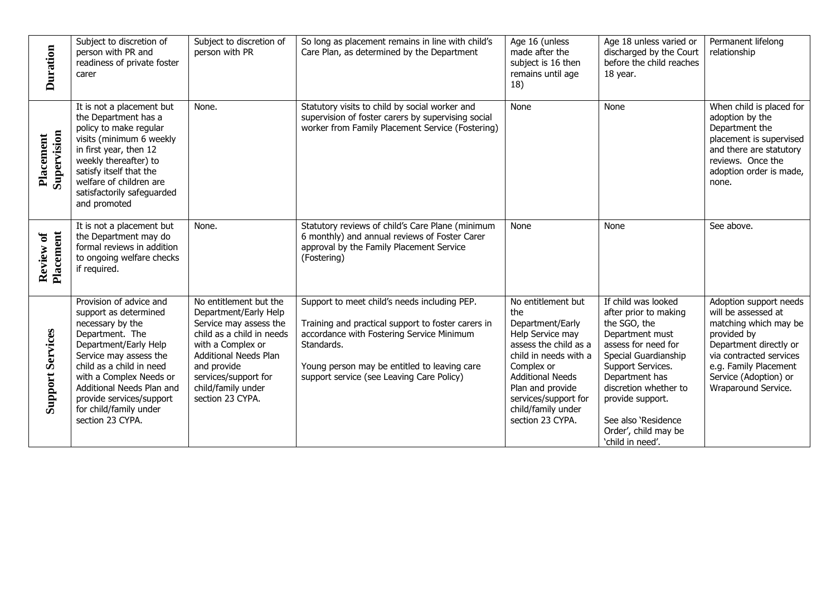| <b>Duration</b>          | Subject to discretion of<br>person with PR and<br>readiness of private foster<br>carer                                                                                                                                                                                                                   | Subject to discretion of<br>person with PR                                                                                                                                                                                                   | So long as placement remains in line with child's<br>Care Plan, as determined by the Department                                                                                                                                                            | Age 16 (unless<br>made after the<br>subject is 16 then<br>remains until age<br>18)                                                                                                                                                                 | Age 18 unless varied or<br>discharged by the Court<br>before the child reaches<br>18 year.                                                                                                                                                                                            | Permanent lifelong<br>relationship                                                                                                                                                                                  |
|--------------------------|----------------------------------------------------------------------------------------------------------------------------------------------------------------------------------------------------------------------------------------------------------------------------------------------------------|----------------------------------------------------------------------------------------------------------------------------------------------------------------------------------------------------------------------------------------------|------------------------------------------------------------------------------------------------------------------------------------------------------------------------------------------------------------------------------------------------------------|----------------------------------------------------------------------------------------------------------------------------------------------------------------------------------------------------------------------------------------------------|---------------------------------------------------------------------------------------------------------------------------------------------------------------------------------------------------------------------------------------------------------------------------------------|---------------------------------------------------------------------------------------------------------------------------------------------------------------------------------------------------------------------|
| Supervision<br>Placement | It is not a placement but<br>the Department has a<br>policy to make regular<br>visits (minimum 6 weekly<br>in first year, then 12<br>weekly thereafter) to<br>satisfy itself that the<br>welfare of children are<br>satisfactorily safeguarded<br>and promoted                                           | None.                                                                                                                                                                                                                                        | Statutory visits to child by social worker and<br>supervision of foster carers by supervising social<br>worker from Family Placement Service (Fostering)                                                                                                   | None                                                                                                                                                                                                                                               | None                                                                                                                                                                                                                                                                                  | When child is placed for<br>adoption by the<br>Department the<br>placement is supervised<br>and there are statutory<br>reviews. Once the<br>adoption order is made,<br>none.                                        |
| Review of<br>Placement   | It is not a placement but<br>the Department may do<br>formal reviews in addition<br>to ongoing welfare checks<br>if required.                                                                                                                                                                            | None.                                                                                                                                                                                                                                        | Statutory reviews of child's Care Plane (minimum<br>6 monthly) and annual reviews of Foster Carer<br>approval by the Family Placement Service<br>(Fostering)                                                                                               | None                                                                                                                                                                                                                                               | None                                                                                                                                                                                                                                                                                  | See above.                                                                                                                                                                                                          |
| <b>Support Services</b>  | Provision of advice and<br>support as determined<br>necessary by the<br>Department. The<br>Department/Early Help<br>Service may assess the<br>child as a child in need<br>with a Complex Needs or<br>Additional Needs Plan and<br>provide services/support<br>for child/family under<br>section 23 CYPA. | No entitlement but the<br>Department/Early Help<br>Service may assess the<br>child as a child in needs<br>with a Complex or<br><b>Additional Needs Plan</b><br>and provide<br>services/support for<br>child/family under<br>section 23 CYPA. | Support to meet child's needs including PEP.<br>Training and practical support to foster carers in<br>accordance with Fostering Service Minimum<br>Standards.<br>Young person may be entitled to leaving care<br>support service (see Leaving Care Policy) | No entitlement but<br>the<br>Department/Early<br>Help Service may<br>assess the child as a<br>child in needs with a<br>Complex or<br><b>Additional Needs</b><br>Plan and provide<br>services/support for<br>child/family under<br>section 23 CYPA. | If child was looked<br>after prior to making<br>the SGO, the<br>Department must<br>assess for need for<br>Special Guardianship<br>Support Services.<br>Department has<br>discretion whether to<br>provide support.<br>See also 'Residence<br>Order', child may be<br>'child in need'. | Adoption support needs<br>will be assessed at<br>matching which may be<br>provided by<br>Department directly or<br>via contracted services<br>e.g. Family Placement<br>Service (Adoption) or<br>Wraparound Service. |